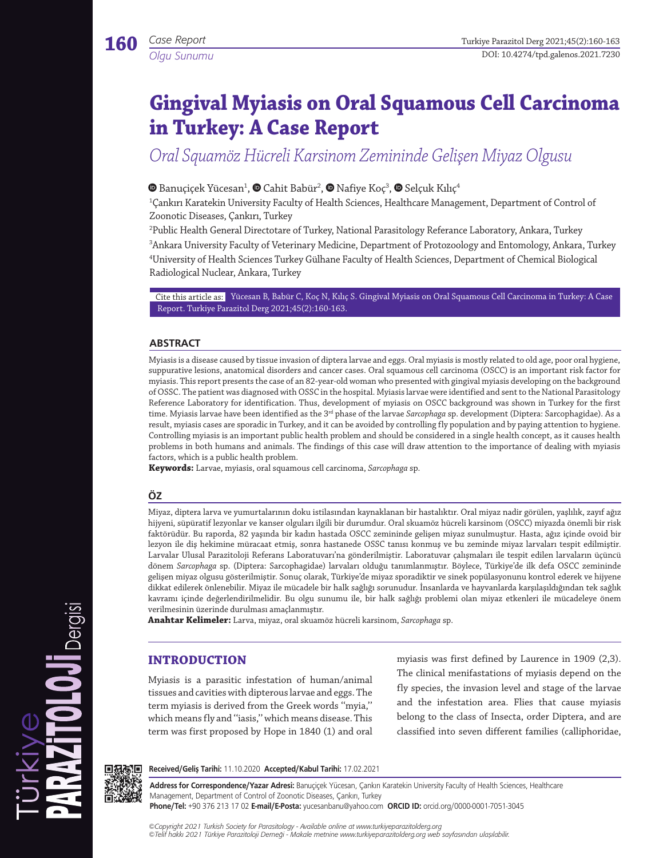*Olgu Sunumu*

# **Gingival Myiasis on Oral Squamous Cell Carcinoma in Turkey: A Case Report**

*Oral Squamöz Hücreli Karsinom Zemininde Gelişen Miyaz Olgusu*

## Banuçiçek Yücesan1 , Cahit Babür2 , Nafiye Koç3 ,Selçuk Kılıç4

1 Çankırı Karatekin University Faculty of Health Sciences, Healthcare Management, Department of Control of Zoonotic Diseases, Çankırı, Turkey

 Public Health General Directotare of Turkey, National Parasitology Referance Laboratory, Ankara, Turkey Ankara University Faculty of Veterinary Medicine, Department of Protozoology and Entomology, Ankara, Turkey University of Health Sciences Turkey Gülhane Faculty of Health Sciences, Department of Chemical Biological Radiological Nuclear, Ankara, Turkey

Cite this article as: Yücesan B, Babür C, Koç N, Kılıç S. Gingival Myiasis on Oral Squamous Cell Carcinoma in Turkey: A Case Report. Turkiye Parazitol Derg 2021;45(2):160-163.

#### **ABSTRACT**

Myiasis is a disease caused by tissue invasion of diptera larvae and eggs. Oral myiasis is mostly related to old age, poor oral hygiene, suppurative lesions, anatomical disorders and cancer cases. Oral squamous cell carcinoma (OSCC) is an important risk factor for myiasis. This report presents the case of an 82-year-old woman who presented with gingival myiasis developing on the background of OSSC. The patient was diagnosed with OSSC in the hospital. Myiasis larvae were identified and sent to the National Parasitology Reference Laboratory for identification. Thus, development of myiasis on OSCC background was shown in Turkey for the first time. Myiasis larvae have been identified as the 3<sup>rd</sup> phase of the larvae *Sarcophaga* sp. development (Diptera: Sarcophagidae). As a result, myiasis cases are sporadic in Turkey, and it can be avoided by controlling fly population and by paying attention to hygiene. Controlling myiasis is an important public health problem and should be considered in a single health concept, as it causes health problems in both humans and animals. The findings of this case will draw attention to the importance of dealing with myiasis factors, which is a public health problem.

**Keywords:** Larvae, myiasis, oral squamous cell carcinoma, *Sarcophaga* sp.

## **ÖZ**

Miyaz, diptera larva ve yumurtalarının doku istilasından kaynaklanan bir hastalıktır. Oral miyaz nadir görülen, yaşlılık, zayıf ağız hijyeni, süpüratif lezyonlar ve kanser olguları ilgili bir durumdur. Oral skuamöz hücreli karsinom (OSCC) miyazda önemli bir risk faktörüdür. Bu raporda, 82 yaşında bir kadın hastada OSCC zemininde gelişen miyaz sunulmuştur. Hasta, ağız içinde ovoid bir lezyon ile diş hekimine müracaat etmiş, sonra hastanede OSSC tanısı konmuş ve bu zeminde miyaz larvaları tespit edilmiştir. Larvalar Ulusal Parazitoloji Referans Laboratuvarı'na gönderilmiştir. Laboratuvar çalışmaları ile tespit edilen larvaların üçüncü dönem *Sarcophaga* sp. (Diptera: Sarcophagidae) larvaları olduğu tanımlanmıştır. Böylece, Türkiye'de ilk defa OSCC zemininde gelişen miyaz olgusu gösterilmiştir. Sonuç olarak, Türkiye'de miyaz sporadiktir ve sinek popülasyonunu kontrol ederek ve hijyene dikkat edilerek önlenebilir. Miyaz ile mücadele bir halk sağlığı sorunudur. İnsanlarda ve hayvanlarda karşılaşıldığından tek sağlık kavramı içinde değerlendirilmelidir. Bu olgu sunumu ile, bir halk sağlığı problemi olan miyaz etkenleri ile mücadeleye önem verilmesinin üzerinde durulması amaçlanmıştır.

**Anahtar Kelimeler:** Larva, miyaz, oral skuamöz hücreli karsinom, *Sarcophaga* sp.

## **INTRODUCTION**

Myiasis is a parasitic infestation of human/animal tissues and cavities with dipterous larvae and eggs. The term myiasis is derived from the Greek words ''myia,'' which means fly and ''iasis,'' which means disease. This term was first proposed by Hope in 1840 (1) and oral myiasis was first defined by Laurence in 1909 (2,3). The clinical menifastations of myiasis depend on the fly species, the invasion level and stage of the larvae and the infestation area. Flies that cause myiasis belong to the class of Insecta, order Diptera, and are classified into seven different families (calliphoridae,



Dergisi

PARAZITO LOJI

**Received/Geliş Tarihi:** 11.10.2020 **Accepted/Kabul Tarihi:** 17.02.2021

**Address for Correspondence/Yazar Adresi:** Banuçiçek Yücesan, Çankırı Karatekin University Faculty of Health Sciences, Healthcare Management, Department of Control of Zoonotic Diseases, Çankırı, Turkey **Phone/Tel:** +90 376 213 17 02 **E-mail/E-Posta:** yucesanbanu@yahoo.com **ORCID ID:** orcid.org/0000-0001-7051-3045

*©Copyright 2021 Turkish Society for Parasitology - Available online at www.turkiyeparazitolderg.org*

*©Telif hakkı 2021 Türkiye Parazitoloji Derneği - Makale metnine www.turkiyeparazitolderg.org web sayfasından ulaşılabilir.*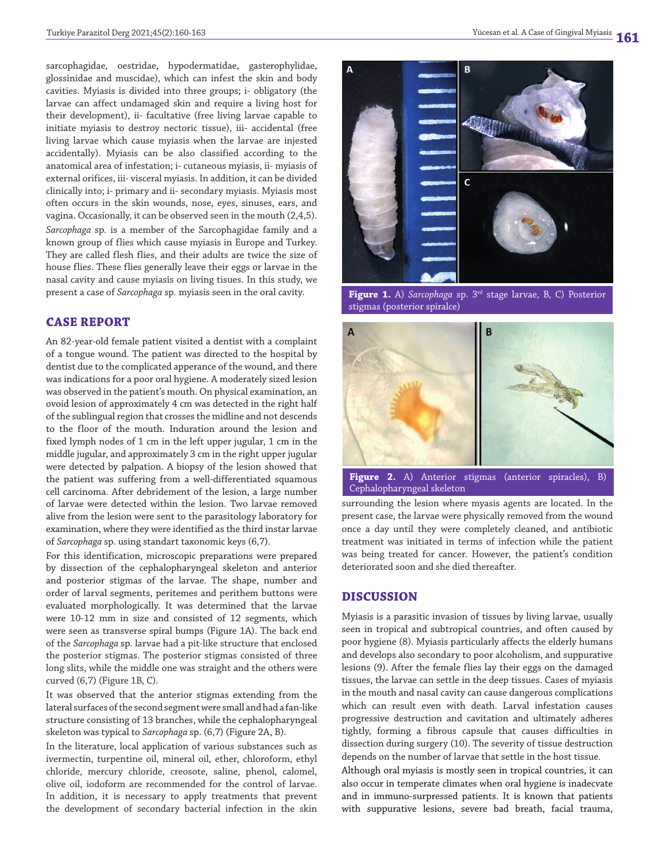sarcophagidae, oestridae, hypodermatidae, gasterophylidae, glossinidae and muscidae), which can infest the skin and body cavities. Myiasis is divided into three groups; i- obligatory (the larvae can affect undamaged skin and require a living host for their development), ii- facultative (free living larvae capable to initiate myiasis to destroy nectoric tissue), iii- accidental (free living larvae which cause myiasis when the larvae are injested accidentally). Myiasis can be also classified according to the anatomical area of infestation; i- cutaneous myiasis, ii- myiasis of external orifices, iii- visceral myiasis. In addition, it can be divided clinically into; i- primary and ii- secondary myiasis. Myiasis most often occurs in the skin wounds, nose, eyes, sinuses, ears, and vagina. Occasionally, it can be observed seen in the mouth (2,4,5). *Sarcophaga* sp*.* is a member of the Sarcophagidae family and a known group of flies which cause myiasis in Europe and Turkey. They are called flesh flies, and their adults are twice the size of house flies. These flies generally leave their eggs or larvae in the nasal cavity and cause myiasis on living tisues. In this study, we present a case of *Sarcophaga* sp*.* myiasis seen in the oral cavity.

#### **CASE REPORT**

An 82-year-old female patient visited a dentist with a complaint of a tongue wound. The patient was directed to the hospital by dentist due to the complicated apperance of the wound, and there was indications for a poor oral hygiene. A moderately sized lesion was observed in the patient's mouth. On physical examination, an ovoid lesion of approximately 4 cm was detected in the right half of the sublingual region that crosses the midline and not descends to the floor of the mouth. Induration around the lesion and fixed lymph nodes of 1 cm in the left upper jugular, 1 cm in the middle jugular, and approximately 3 cm in the right upper jugular were detected by palpation. A biopsy of the lesion showed that the patient was suffering from a well-differentiated squamous cell carcinoma. After debridement of the lesion, a large number of larvae were detected within the lesion. Two larvae removed alive from the lesion were sent to the parasitology laboratory for examination, where they were identified as the third instar larvae of *Sarcophaga* sp. using standart taxonomic keys (6,7).

For this identification, microscopic preparations were prepared by dissection of the cephalopharyngeal skeleton and anterior and posterior stigmas of the larvae. The shape, number and order of larval segments, peritemes and perithem buttons were evaluated morphologically. It was determined that the larvae were 10-12 mm in size and consisted of 12 segments, which were seen as transverse spiral bumps (Figure 1A). The back end of the *Sarcophaga* sp. larvae had a pit-like structure that enclosed the posterior stigmas. The posterior stigmas consisted of three long slits, while the middle one was straight and the others were curved (6,7) (Figure 1B, C).

It was observed that the anterior stigmas extending from the lateral surfaces of the second segment were small and had a fan-like structure consisting of 13 branches, while the cephalopharyngeal skeleton was typical to *Sarcophaga* sp. (6,7) (Figure 2A, B).

In the literature, local application of various substances such as ivermectin, turpentine oil, mineral oil, ether, chloroform, ethyl chloride, mercury chloride, creosote, saline, phenol, calomel, olive oil, iodoform are recommended for the control of larvae. In addition, it is necessary to apply treatments that prevent the development of secondary bacterial infection in the skin



**Figure 1.** A) *Sarcophaga* sp. 3rd stage larvae, B, C) Posterior stigmas (posterior spiralce)



**Figure 2.** A) Anterior stigmas (anterior spiracles), B) Cephalopharyngeal skeleton

surrounding the lesion where myasis agents are located. In the present case, the larvae were physically removed from the wound once a day until they were completely cleaned, and antibiotic treatment was initiated in terms of infection while the patient was being treated for cancer. However, the patient's condition deteriorated soon and she died thereafter.

### **DISCUSSION**

Myiasis is a parasitic invasion of tissues by living larvae, usually seen in tropical and subtropical countries, and often caused by poor hygiene (8). Myiasis particularly affects the elderly humans and develops also secondary to poor alcoholism, and suppurative lesions (9). After the female flies lay their eggs on the damaged tissues, the larvae can settle in the deep tissues. Cases of myiasis in the mouth and nasal cavity can cause dangerous complications which can result even with death. Larval infestation causes progressive destruction and cavitation and ultimately adheres tightly, forming a fibrous capsule that causes difficulties in dissection during surgery (10). The severity of tissue destruction depends on the number of larvae that settle in the host tissue.

Although oral myiasis is mostly seen in tropical countries, it can also occur in temperate climates when oral hygiene is inadecvate and in immuno-surpressed patients. It is known that patients with suppurative lesions, severe bad breath, facial trauma,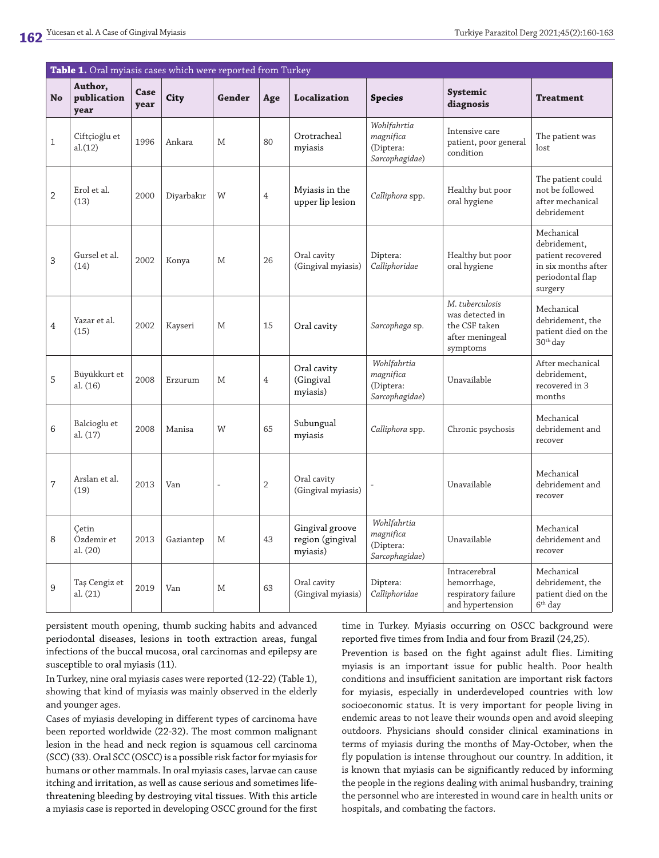| Table 1. Oral myiasis cases which were reported from Turkey |                                 |              |            |        |                |                                                 |                                                         |                                                                                    |                                                                                                       |
|-------------------------------------------------------------|---------------------------------|--------------|------------|--------|----------------|-------------------------------------------------|---------------------------------------------------------|------------------------------------------------------------------------------------|-------------------------------------------------------------------------------------------------------|
| <b>No</b>                                                   | Author,<br>publication<br>year  | Case<br>year | City       | Gender | Age            | <b>Localization</b>                             | <b>Species</b>                                          | Systemic<br>diagnosis                                                              | <b>Treatment</b>                                                                                      |
| $\mathbf{1}$                                                | Ciftçioğlu et<br>al.(12)        | 1996         | Ankara     | M      | 80             | Orotracheal<br>myiasis                          | Wohlfahrtia<br>magnifica<br>(Diptera:<br>Sarcophagidae) | Intensive care<br>patient, poor general<br>condition                               | The patient was<br>lost                                                                               |
| $\overline{2}$                                              | Erol et al.<br>(13)             | 2000         | Diyarbakır | W      | $\overline{4}$ | Myiasis in the<br>upper lip lesion              | Calliphora spp.                                         | Healthy but poor<br>oral hygiene                                                   | The patient could<br>not be followed<br>after mechanical<br>debridement                               |
| 3                                                           | Gursel et al.<br>(14)           | 2002         | Konya      | Μ      | 26             | Oral cavity<br>(Gingival myiasis)               | Diptera:<br>Calliphoridae                               | Healthy but poor<br>oral hygiene                                                   | Mechanical<br>debridement,<br>patient recovered<br>in six months after<br>periodontal flap<br>surgery |
| 4                                                           | Yazar et al.<br>(15)            | 2002         | Kayseri    | M      | 15             | Oral cavity                                     | Sarcophaga sp.                                          | M. tuberculosis<br>was detected in<br>the CSF taken<br>after meningeal<br>symptoms | Mechanical<br>debridement, the<br>patient died on the<br>$30th$ day                                   |
| 5                                                           | Büyükkurt et<br>al. (16)        | 2008         | Erzurum    | M      | $\overline{4}$ | Oral cavity<br>(Gingival<br>myiasis)            | Wohlfahrtia<br>magnifica<br>(Diptera:<br>Sarcophagidae) | Unavailable                                                                        | After mechanical<br>debridement,<br>recovered in 3<br>months                                          |
| 6                                                           | Balcioglu et<br>al. (17)        | 2008         | Manisa     | W      | 65             | Subungual<br>myiasis                            | Calliphora spp.                                         | Chronic psychosis                                                                  | Mechanical<br>debridement and<br>recover                                                              |
| 7                                                           | Arslan et al.<br>(19)           | 2013         | Van        |        | 2              | Oral cavity<br>(Gingival myiasis)               |                                                         | Unavailable                                                                        | Mechanical<br>debridement and<br>recover                                                              |
| 8                                                           | Cetin<br>Özdemir et<br>al. (20) | 2013         | Gaziantep  | М      | 43             | Gingival groove<br>region (gingival<br>myiasis) | Wohlfahrtia<br>magnifica<br>(Diptera:<br>Sarcophagidae) | Unavailable                                                                        | Mechanical<br>debridement and<br>recover                                                              |
| 9                                                           | Taş Cengiz et<br>al. (21)       | 2019         | Van        | M      | 63             | Oral cavity<br>(Gingival myiasis)               | Diptera:<br>Calliphoridae                               | Intracerebral<br>hemorrhage,<br>respiratory failure<br>and hypertension            | Mechanical<br>debridement, the<br>patient died on the<br>$6th$ day                                    |

persistent mouth opening, thumb sucking habits and advanced periodontal diseases, lesions in tooth extraction areas, fungal infections of the buccal mucosa, oral carcinomas and epilepsy are susceptible to oral myiasis (11).

In Turkey, nine oral myiasis cases were reported (12-22) (Table 1), showing that kind of myiasis was mainly observed in the elderly and younger ages.

Cases of myiasis developing in different types of carcinoma have been reported worldwide (22-32). The most common malignant lesion in the head and neck region is squamous cell carcinoma (SCC) (33). Oral SCC (OSCC) is a possible risk factor for myiasis for humans or other mammals. In oral myiasis cases, larvae can cause itching and irritation, as well as cause serious and sometimes lifethreatening bleeding by destroying vital tissues. With this article a myiasis case is reported in developing OSCC ground for the first time in Turkey. Myiasis occurring on OSCC background were reported five times from India and four from Brazil (24,25).

Prevention is based on the fight against adult flies. Limiting myiasis is an important issue for public health. Poor health conditions and insufficient sanitation are important risk factors for myiasis, especially in underdeveloped countries with low socioeconomic status. It is very important for people living in endemic areas to not leave their wounds open and avoid sleeping outdoors. Physicians should consider clinical examinations in terms of myiasis during the months of May-October, when the fly population is intense throughout our country. In addition, it is known that myiasis can be significantly reduced by informing the people in the regions dealing with animal husbandry, training the personnel who are interested in wound care in health units or hospitals, and combating the factors.